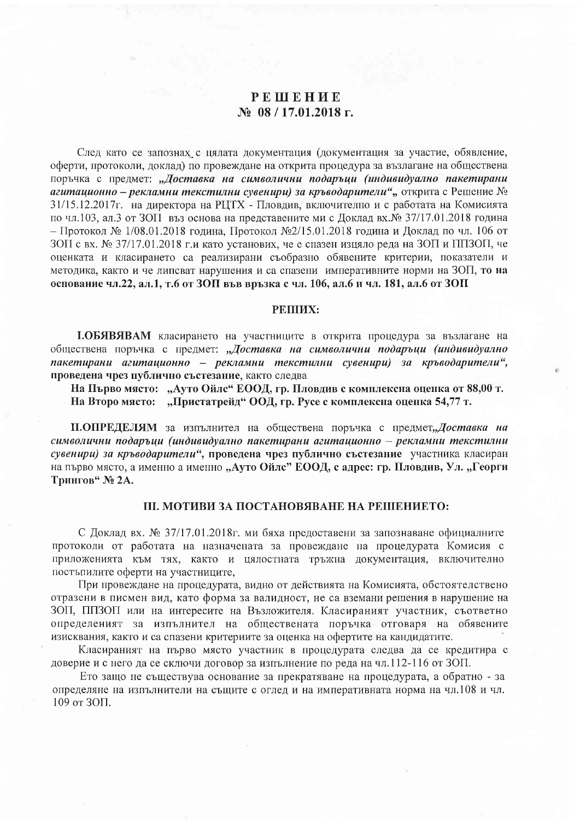# PEHIEHUE  $\mathbb{N}$ <sup>08</sup> / 17.01.2018 г.

След като се запознах с цялата документация (документация за участие, обявление, оферти, протоколи, доклад) по провеждане на открита процедура за възлагане на обществена поръчка с предмет: "Доставка на символични подаръци (индивидуално пакетирани агитационно – рекламни текстилни сувенири) за кръводарители", открита с Решение № 31/15.12.2017г. на директора на РЦТХ - Пловдив, включително и с работата на Комисията по чл.103, ал.3 от ЗОП въз основа на представените ми с Доклад вх. № 37/17.01.2018 година – Протокол № 1/08.01.2018 година, Протокол №2/15.01.2018 година и Доклад по чл. 106 от ЗОП с вх. № 37/17.01.2018 г.и като установих, че е спазен изцяло реда на ЗОП и ППЗОП, че оценката и класирането са реализирани съобразно обявените критерии, показатели и методика, както и че липсват нарушения и са спазени императивните норми на ЗОП, то на основание чл.22, ал.1, т.6 от ЗОП във връзка с чл. 106, ал.6 и чл. 181, ал.6 от ЗОП

### PEIIIIX:

І.ОБЯВЯВАМ класирането на участниците в открита процедура за възлагане на обществена поръчка с предмет: "Доставка на символични подаръци (индивидуално пакетирани агитационно - рекламни текстилни сувенири) за кръводарители", проведена чрез публично състезание, както следва

На Първо място: "Ауто Ойлс" ЕООД, гр. Пловдив с комплексна оценка от 88,00 т. На Второ място: "Пристатрейд" ООД, гр. Русе с комплексна оценка 54,77 т.

П.ОПРЕДЕЛЯМ за изпълнител на обществена поръчка с предмет"Доставка на символични подаръци (индивидуално пакетирани агитационно - рекламни текстилни сувенири) за кръводарители", проведена чрез публично състезание участника класиран на първо място, а именно а именно "Ауто Ойлс" ЕООД, с адрес: гр. Пловдив, Ул. "Георги Трингов" № 2А.

### Ш. МОТИВИ ЗА ПОСТАНОВЯВАНЕ НА РЕШЕНИЕТО:

С Доклад вх. № 37/17.01.2018г. ми бяха предоставени за запознаване официалните протоколи от работата на назначената за провеждане на процедурата Комисия с приложенията към тях, както и цялостната тръжна документация, включително постъпилите оферти на участниците.

При провеждане на процедурата, видно от действията на Комисията, обстоятелствено отразени в писмен вид, като форма за валидност, не са вземани решения в нарушение на ЗОП, ППЗОП или на интересите на Възложителя. Класираният участник, съответно определеният за изпълнител на обществената поръчка отговаря на обявените изисквания, както и са спазени критериите за оценка на офертите на кандидатите.

Класираният на първо място участник в процедурата следва да се кредитира с доверие и с него да се сключи договор за изпълнение по реда на чл.112-116 от ЗОП.

Ето защо не съществува основание за прекратяване на процедурата, а обратно - за определяне на изпълнители на същите с оглед и на императивната норма на чл.108 и чл. 109 от ЗОП.